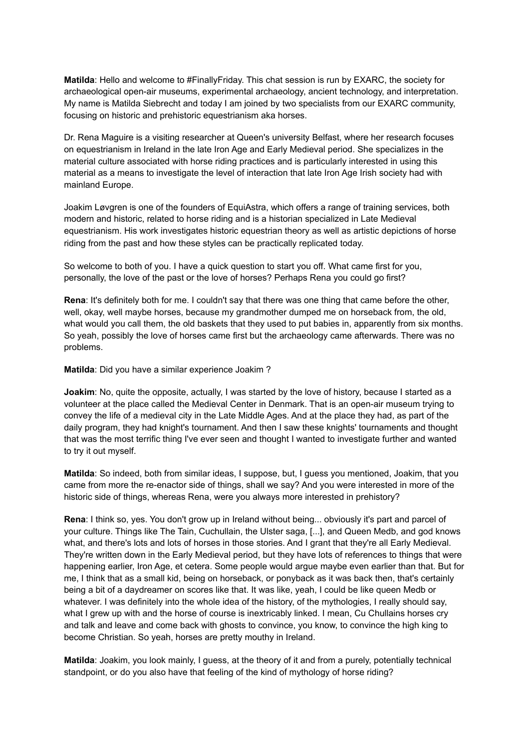**Matilda**: Hello and welcome to #FinallyFriday. This chat session is run by EXARC, the society for archaeological open-air museums, experimental archaeology, ancient technology, and interpretation. My name is Matilda Siebrecht and today I am joined by two specialists from our EXARC community, focusing on historic and prehistoric equestrianism aka horses.

Dr. Rena Maguire is a visiting researcher at Queen's university Belfast, where her research focuses on equestrianism in Ireland in the late Iron Age and Early Medieval period. She specializes in the material culture associated with horse riding practices and is particularly interested in using this material as a means to investigate the level of interaction that late Iron Age Irish society had with mainland Europe.

Joakim Løvgren is one of the founders of EquiAstra, which offers a range of training services, both modern and historic, related to horse riding and is a historian specialized in Late Medieval equestrianism. His work investigates historic equestrian theory as well as artistic depictions of horse riding from the past and how these styles can be practically replicated today.

So welcome to both of you. I have a quick question to start you off. What came first for you, personally, the love of the past or the love of horses? Perhaps Rena you could go first?

**Rena**: It's definitely both for me. I couldn't say that there was one thing that came before the other, well, okay, well maybe horses, because my grandmother dumped me on horseback from, the old, what would you call them, the old baskets that they used to put babies in, apparently from six months. So yeah, possibly the love of horses came first but the archaeology came afterwards. There was no problems.

**Matilda**: Did you have a similar experience Joakim ?

**Joakim**: No, quite the opposite, actually, I was started by the love of history, because I started as a volunteer at the place called the Medieval Center in Denmark. That is an open-air museum trying to convey the life of a medieval city in the Late Middle Ages. And at the place they had, as part of the daily program, they had knight's tournament. And then I saw these knights' tournaments and thought that was the most terrific thing I've ever seen and thought I wanted to investigate further and wanted to try it out myself.

**Matilda**: So indeed, both from similar ideas, I suppose, but, I guess you mentioned, Joakim, that you came from more the re-enactor side of things, shall we say? And you were interested in more of the historic side of things, whereas Rena, were you always more interested in prehistory?

**Rena**: I think so, yes. You don't grow up in Ireland without being... obviously it's part and parcel of your culture. Things like The Tain, Cuchullain, the Ulster saga, [...], and Queen Medb, and god knows what, and there's lots and lots of horses in those stories. And I grant that they're all Early Medieval. They're written down in the Early Medieval period, but they have lots of references to things that were happening earlier, Iron Age, et cetera. Some people would argue maybe even earlier than that. But for me, I think that as a small kid, being on horseback, or ponyback as it was back then, that's certainly being a bit of a daydreamer on scores like that. It was like, yeah, I could be like queen Medb or whatever. I was definitely into the whole idea of the history, of the mythologies, I really should say, what I grew up with and the horse of course is inextricably linked. I mean, Cu Chullains horses cry and talk and leave and come back with ghosts to convince, you know, to convince the high king to become Christian. So yeah, horses are pretty mouthy in Ireland.

**Matilda**: Joakim, you look mainly, I guess, at the theory of it and from a purely, potentially technical standpoint, or do you also have that feeling of the kind of mythology of horse riding?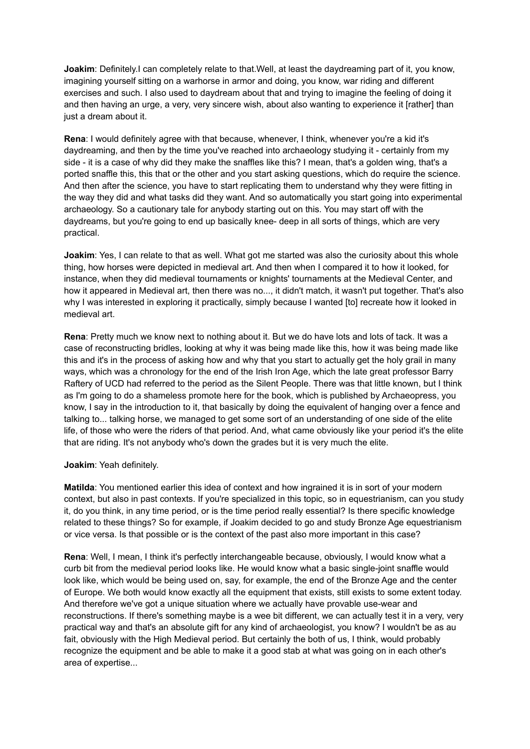**Joakim**: Definitely.I can completely relate to that. Well, at least the daydreaming part of it, you know, imagining yourself sitting on a warhorse in armor and doing, you know, war riding and different exercises and such. I also used to daydream about that and trying to imagine the feeling of doing it and then having an urge, a very, very sincere wish, about also wanting to experience it [rather] than just a dream about it.

**Rena**: I would definitely agree with that because, whenever, I think, whenever you're a kid it's daydreaming, and then by the time you've reached into archaeology studying it - certainly from my side - it is a case of why did they make the snaffles like this? I mean, that's a golden wing, that's a ported snaffle this, this that or the other and you start asking questions, which do require the science. And then after the science, you have to start replicating them to understand why they were fitting in the way they did and what tasks did they want. And so automatically you start going into experimental archaeology. So a cautionary tale for anybody starting out on this. You may start off with the daydreams, but you're going to end up basically knee- deep in all sorts of things, which are very practical.

**Joakim**: Yes, I can relate to that as well. What got me started was also the curiosity about this whole thing, how horses were depicted in medieval art. And then when I compared it to how it looked, for instance, when they did medieval tournaments or knights' tournaments at the Medieval Center, and how it appeared in Medieval art, then there was no..., it didn't match, it wasn't put together. That's also why I was interested in exploring it practically, simply because I wanted [to] recreate how it looked in medieval art.

**Rena**: Pretty much we know next to nothing about it. But we do have lots and lots of tack. It was a case of reconstructing bridles, looking at why it was being made like this, how it was being made like this and it's in the process of asking how and why that you start to actually get the holy grail in many ways, which was a chronology for the end of the Irish Iron Age, which the late great professor Barry Raftery of UCD had referred to the period as the Silent People. There was that little known, but I think as I'm going to do a shameless promote here for the book, which is published by Archaeopress, you know, I say in the introduction to it, that basically by doing the equivalent of hanging over a fence and talking to... talking horse, we managed to get some sort of an understanding of one side of the elite life, of those who were the riders of that period. And, what came obviously like your period it's the elite that are riding. It's not anybody who's down the grades but it is very much the elite.

## **Joakim**: Yeah definitely.

**Matilda**: You mentioned earlier this idea of context and how ingrained it is in sort of your modern context, but also in past contexts. If you're specialized in this topic, so in equestrianism, can you study it, do you think, in any time period, or is the time period really essential? Is there specific knowledge related to these things? So for example, if Joakim decided to go and study Bronze Age equestrianism or vice versa. Is that possible or is the context of the past also more important in this case?

**Rena**: Well, I mean, I think it's perfectly interchangeable because, obviously, I would know what a curb bit from the medieval period looks like. He would know what a basic single-joint snaffle would look like, which would be being used on, say, for example, the end of the Bronze Age and the center of Europe. We both would know exactly all the equipment that exists, still exists to some extent today. And therefore we've got a unique situation where we actually have provable use-wear and reconstructions. If there's something maybe is a wee bit different, we can actually test it in a very, very practical way and that's an absolute gift for any kind of archaeologist, you know? I wouldn't be as au fait, obviously with the High Medieval period. But certainly the both of us, I think, would probably recognize the equipment and be able to make it a good stab at what was going on in each other's area of expertise...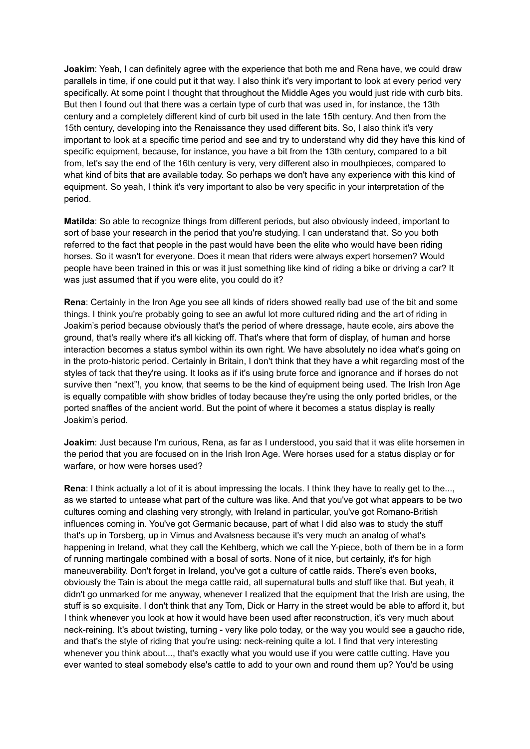**Joakim**: Yeah, I can definitely agree with the experience that both me and Rena have, we could draw parallels in time, if one could put it that way. I also think it's very important to look at every period very specifically. At some point I thought that throughout the Middle Ages you would just ride with curb bits. But then I found out that there was a certain type of curb that was used in, for instance, the 13th century and a completely different kind of curb bit used in the late 15th century. And then from the 15th century, developing into the Renaissance they used different bits. So, I also think it's very important to look at a specific time period and see and try to understand why did they have this kind of specific equipment, because, for instance, you have a bit from the 13th century, compared to a bit from, let's say the end of the 16th century is very, very different also in mouthpieces, compared to what kind of bits that are available today. So perhaps we don't have any experience with this kind of equipment. So yeah, I think it's very important to also be very specific in your interpretation of the period.

**Matilda**: So able to recognize things from different periods, but also obviously indeed, important to sort of base your research in the period that you're studying. I can understand that. So you both referred to the fact that people in the past would have been the elite who would have been riding horses. So it wasn't for everyone. Does it mean that riders were always expert horsemen? Would people have been trained in this or was it just something like kind of riding a bike or driving a car? It was just assumed that if you were elite, you could do it?

**Rena**: Certainly in the Iron Age you see all kinds of riders showed really bad use of the bit and some things. I think you're probably going to see an awful lot more cultured riding and the art of riding in Joakim's period because obviously that's the period of where dressage, haute ecole, airs above the ground, that's really where it's all kicking off. That's where that form of display, of human and horse interaction becomes a status symbol within its own right. We have absolutely no idea what's going on in the proto-historic period. Certainly in Britain, I don't think that they have a whit regarding most of the styles of tack that they're using. It looks as if it's using brute force and ignorance and if horses do not survive then "next"!, you know, that seems to be the kind of equipment being used. The Irish Iron Age is equally compatible with show bridles of today because they're using the only ported bridles, or the ported snaffles of the ancient world. But the point of where it becomes a status display is really Joakim's period.

**Joakim**: Just because I'm curious, Rena, as far as I understood, you said that it was elite horsemen in the period that you are focused on in the Irish Iron Age. Were horses used for a status display or for warfare, or how were horses used?

**Rena**: I think actually a lot of it is about impressing the locals. I think they have to really get to the..., as we started to untease what part of the culture was like. And that you've got what appears to be two cultures coming and clashing very strongly, with Ireland in particular, you've got Romano-British influences coming in. You've got Germanic because, part of what I did also was to study the stuff that's up in Torsberg, up in Vimus and Avalsness because it's very much an analog of what's happening in Ireland, what they call the Kehlberg, which we call the Y-piece, both of them be in a form of running martingale combined with a bosal of sorts. None of it nice, but certainly, it's for high maneuverability. Don't forget in Ireland, you've got a culture of cattle raids. There's even books, obviously the Tain is about the mega cattle raid, all supernatural bulls and stuff like that. But yeah, it didn't go unmarked for me anyway, whenever I realized that the equipment that the Irish are using, the stuff is so exquisite. I don't think that any Tom, Dick or Harry in the street would be able to afford it, but I think whenever you look at how it would have been used after reconstruction, it's very much about neck-reining. It's about twisting, turning - very like polo today, or the way you would see a gaucho ride, and that's the style of riding that you're using: neck-reining quite a lot. I find that very interesting whenever you think about..., that's exactly what you would use if you were cattle cutting. Have you ever wanted to steal somebody else's cattle to add to your own and round them up? You'd be using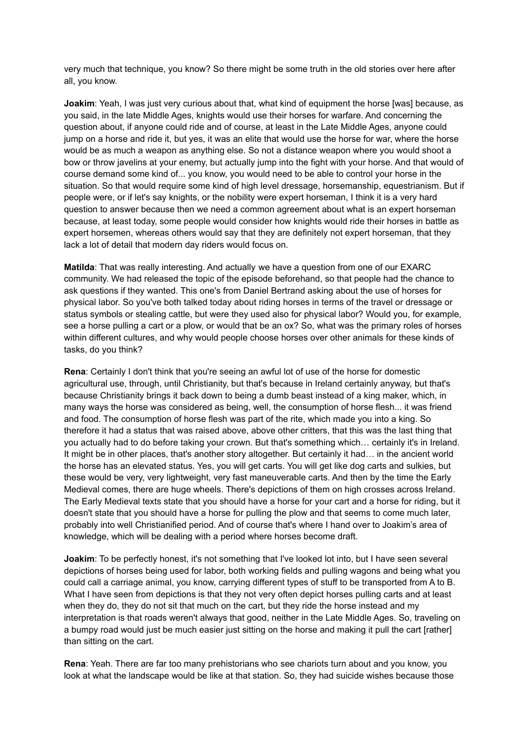very much that technique, you know? So there might be some truth in the old stories over here after all, you know.

**Joakim**: Yeah, I was just very curious about that, what kind of equipment the horse [was] because, as you said, in the late Middle Ages, knights would use their horses for warfare. And concerning the question about, if anyone could ride and of course, at least in the Late Middle Ages, anyone could jump on a horse and ride it, but yes, it was an elite that would use the horse for war, where the horse would be as much a weapon as anything else. So not a distance weapon where you would shoot a bow or throw javelins at your enemy, but actually jump into the fight with your horse. And that would of course demand some kind of... you know, you would need to be able to control your horse in the situation. So that would require some kind of high level dressage, horsemanship, equestrianism. But if people were, or if let's say knights, or the nobility were expert horseman, I think it is a very hard question to answer because then we need a common agreement about what is an expert horseman because, at least today, some people would consider how knights would ride their horses in battle as expert horsemen, whereas others would say that they are definitely not expert horseman, that they lack a lot of detail that modern day riders would focus on.

**Matilda**: That was really interesting. And actually we have a question from one of our EXARC community. We had released the topic of the episode beforehand, so that people had the chance to ask questions if they wanted. This one's from Daniel Bertrand asking about the use of horses for physical labor. So you've both talked today about riding horses in terms of the travel or dressage or status symbols or stealing cattle, but were they used also for physical labor? Would you, for example, see a horse pulling a cart or a plow, or would that be an ox? So, what was the primary roles of horses within different cultures, and why would people choose horses over other animals for these kinds of tasks, do you think?

**Rena**: Certainly I don't think that you're seeing an awful lot of use of the horse for domestic agricultural use, through, until Christianity, but that's because in Ireland certainly anyway, but that's because Christianity brings it back down to being a dumb beast instead of a king maker, which, in many ways the horse was considered as being, well, the consumption of horse flesh... it was friend and food. The consumption of horse flesh was part of the rite, which made you into a king. So therefore it had a status that was raised above, above other critters, that this was the last thing that you actually had to do before taking your crown. But that's something which… certainly it's in Ireland. It might be in other places, that's another story altogether. But certainly it had… in the ancient world the horse has an elevated status. Yes, you will get carts. You will get like dog carts and sulkies, but these would be very, very lightweight, very fast maneuverable carts. And then by the time the Early Medieval comes, there are huge wheels. There's depictions of them on high crosses across Ireland. The Early Medieval texts state that you should have a horse for your cart and a horse for riding, but it doesn't state that you should have a horse for pulling the plow and that seems to come much later, probably into well Christianified period. And of course that's where I hand over to Joakim's area of knowledge, which will be dealing with a period where horses become draft.

**Joakim**: To be perfectly honest, it's not something that I've looked lot into, but I have seen several depictions of horses being used for labor, both working fields and pulling wagons and being what you could call a carriage animal, you know, carrying different types of stuff to be transported from A to B. What I have seen from depictions is that they not very often depict horses pulling carts and at least when they do, they do not sit that much on the cart, but they ride the horse instead and my interpretation is that roads weren't always that good, neither in the Late Middle Ages. So, traveling on a bumpy road would just be much easier just sitting on the horse and making it pull the cart [rather] than sitting on the cart.

**Rena**: Yeah. There are far too many prehistorians who see chariots turn about and you know, you look at what the landscape would be like at that station. So, they had suicide wishes because those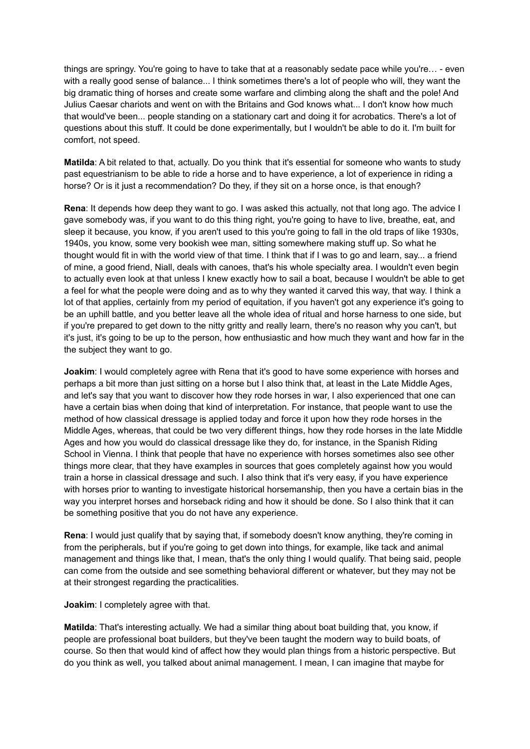things are springy. You're going to have to take that at a reasonably sedate pace while you're… - even with a really good sense of balance... I think sometimes there's a lot of people who will, they want the big dramatic thing of horses and create some warfare and climbing along the shaft and the pole! And Julius Caesar chariots and went on with the Britains and God knows what... I don't know how much that would've been... people standing on a stationary cart and doing it for acrobatics. There's a lot of questions about this stuff. It could be done experimentally, but I wouldn't be able to do it. I'm built for comfort, not speed.

**Matilda**: A bit related to that, actually. Do you think that it's essential for someone who wants to study past equestrianism to be able to ride a horse and to have experience, a lot of experience in riding a horse? Or is it just a recommendation? Do they, if they sit on a horse once, is that enough?

**Rena**: It depends how deep they want to go. I was asked this actually, not that long ago. The advice I gave somebody was, if you want to do this thing right, you're going to have to live, breathe, eat, and sleep it because, you know, if you aren't used to this you're going to fall in the old traps of like 1930s, 1940s, you know, some very bookish wee man, sitting somewhere making stuff up. So what he thought would fit in with the world view of that time. I think that if I was to go and learn, say... a friend of mine, a good friend, Niall, deals with canoes, that's his whole specialty area. I wouldn't even begin to actually even look at that unless I knew exactly how to sail a boat, because I wouldn't be able to get a feel for what the people were doing and as to why they wanted it carved this way, that way. I think a lot of that applies, certainly from my period of equitation, if you haven't got any experience it's going to be an uphill battle, and you better leave all the whole idea of ritual and horse harness to one side, but if you're prepared to get down to the nitty gritty and really learn, there's no reason why you can't, but it's just, it's going to be up to the person, how enthusiastic and how much they want and how far in the the subject they want to go.

**Joakim**: I would completely agree with Rena that it's good to have some experience with horses and perhaps a bit more than just sitting on a horse but I also think that, at least in the Late Middle Ages, and let's say that you want to discover how they rode horses in war, I also experienced that one can have a certain bias when doing that kind of interpretation. For instance, that people want to use the method of how classical dressage is applied today and force it upon how they rode horses in the Middle Ages, whereas, that could be two very different things, how they rode horses in the late Middle Ages and how you would do classical dressage like they do, for instance, in the Spanish Riding School in Vienna. I think that people that have no experience with horses sometimes also see other things more clear, that they have examples in sources that goes completely against how you would train a horse in classical dressage and such. I also think that it's very easy, if you have experience with horses prior to wanting to investigate historical horsemanship, then you have a certain bias in the way you interpret horses and horseback riding and how it should be done. So I also think that it can be something positive that you do not have any experience.

**Rena**: I would just qualify that by saying that, if somebody doesn't know anything, they're coming in from the peripherals, but if you're going to get down into things, for example, like tack and animal management and things like that, I mean, that's the only thing I would qualify. That being said, people can come from the outside and see something behavioral different or whatever, but they may not be at their strongest regarding the practicalities.

**Joakim**: I completely agree with that.

**Matilda**: That's interesting actually. We had a similar thing about boat building that, you know, if people are professional boat builders, but they've been taught the modern way to build boats, of course. So then that would kind of affect how they would plan things from a historic perspective. But do you think as well, you talked about animal management. I mean, I can imagine that maybe for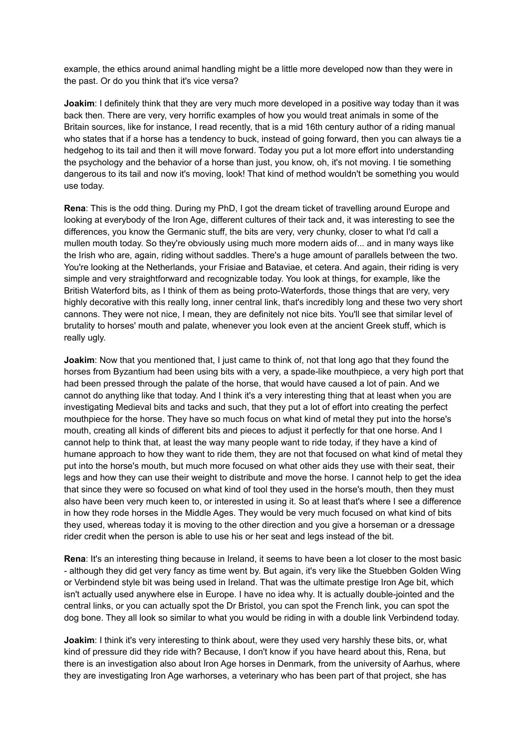example, the ethics around animal handling might be a little more developed now than they were in the past. Or do you think that it's vice versa?

**Joakim**: I definitely think that they are very much more developed in a positive way today than it was back then. There are very, very horrific examples of how you would treat animals in some of the Britain sources, like for instance, I read recently, that is a mid 16th century author of a riding manual who states that if a horse has a tendency to buck, instead of going forward, then you can always tie a hedgehog to its tail and then it will move forward. Today you put a lot more effort into understanding the psychology and the behavior of a horse than just, you know, oh, it's not moving. I tie something dangerous to its tail and now it's moving, look! That kind of method wouldn't be something you would use today.

**Rena**: This is the odd thing. During my PhD, I got the dream ticket of travelling around Europe and looking at everybody of the Iron Age, different cultures of their tack and, it was interesting to see the differences, you know the Germanic stuff, the bits are very, very chunky, closer to what I'd call a mullen mouth today. So they're obviously using much more modern aids of... and in many ways like the Irish who are, again, riding without saddles. There's a huge amount of parallels between the two. You're looking at the Netherlands, your Frisiae and Bataviae, et cetera. And again, their riding is very simple and very straightforward and recognizable today. You look at things, for example, like the British Waterford bits, as I think of them as being proto-Waterfords, those things that are very, very highly decorative with this really long, inner central link, that's incredibly long and these two very short cannons. They were not nice, I mean, they are definitely not nice bits. You'll see that similar level of brutality to horses' mouth and palate, whenever you look even at the ancient Greek stuff, which is really ugly.

**Joakim**: Now that you mentioned that, I just came to think of, not that long ago that they found the horses from Byzantium had been using bits with a very, a spade-like mouthpiece, a very high port that had been pressed through the palate of the horse, that would have caused a lot of pain. And we cannot do anything like that today. And I think it's a very interesting thing that at least when you are investigating Medieval bits and tacks and such, that they put a lot of effort into creating the perfect mouthpiece for the horse. They have so much focus on what kind of metal they put into the horse's mouth, creating all kinds of different bits and pieces to adjust it perfectly for that one horse. And I cannot help to think that, at least the way many people want to ride today, if they have a kind of humane approach to how they want to ride them, they are not that focused on what kind of metal they put into the horse's mouth, but much more focused on what other aids they use with their seat, their legs and how they can use their weight to distribute and move the horse. I cannot help to get the idea that since they were so focused on what kind of tool they used in the horse's mouth, then they must also have been very much keen to, or interested in using it. So at least that's where I see a difference in how they rode horses in the Middle Ages. They would be very much focused on what kind of bits they used, whereas today it is moving to the other direction and you give a horseman or a dressage rider credit when the person is able to use his or her seat and legs instead of the bit.

**Rena**: It's an interesting thing because in Ireland, it seems to have been a lot closer to the most basic - although they did get very fancy as time went by. But again, it's very like the Stuebben Golden Wing or Verbindend style bit was being used in Ireland. That was the ultimate prestige Iron Age bit, which isn't actually used anywhere else in Europe. I have no idea why. It is actually double-jointed and the central links, or you can actually spot the Dr Bristol, you can spot the French link, you can spot the dog bone. They all look so similar to what you would be riding in with a double link Verbindend today.

**Joakim**: I think it's very interesting to think about, were they used very harshly these bits, or, what kind of pressure did they ride with? Because, I don't know if you have heard about this, Rena, but there is an investigation also about Iron Age horses in Denmark, from the university of Aarhus, where they are investigating Iron Age warhorses, a veterinary who has been part of that project, she has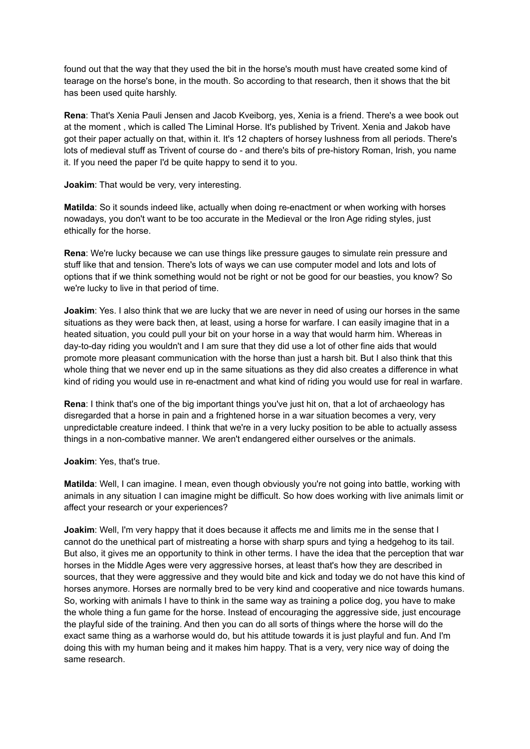found out that the way that they used the bit in the horse's mouth must have created some kind of tearage on the horse's bone, in the mouth. So according to that research, then it shows that the bit has been used quite harshly.

**Rena**: That's Xenia Pauli Jensen and Jacob Kveiborg, yes, Xenia is a friend. There's a wee book out at the moment , which is called The Liminal Horse. It's published by Trivent. Xenia and Jakob have got their paper actually on that, within it. It's 12 chapters of horsey lushness from all periods. There's lots of medieval stuff as Trivent of course do - and there's bits of pre-history Roman, Irish, you name it. If you need the paper I'd be quite happy to send it to you.

**Joakim**: That would be very, very interesting.

**Matilda**: So it sounds indeed like, actually when doing re-enactment or when working with horses nowadays, you don't want to be too accurate in the Medieval or the Iron Age riding styles, just ethically for the horse.

**Rena**: We're lucky because we can use things like pressure gauges to simulate rein pressure and stuff like that and tension. There's lots of ways we can use computer model and lots and lots of options that if we think something would not be right or not be good for our beasties, you know? So we're lucky to live in that period of time.

**Joakim**: Yes. I also think that we are lucky that we are never in need of using our horses in the same situations as they were back then, at least, using a horse for warfare. I can easily imagine that in a heated situation, you could pull your bit on your horse in a way that would harm him. Whereas in day-to-day riding you wouldn't and I am sure that they did use a lot of other fine aids that would promote more pleasant communication with the horse than just a harsh bit. But I also think that this whole thing that we never end up in the same situations as they did also creates a difference in what kind of riding you would use in re-enactment and what kind of riding you would use for real in warfare.

**Rena**: I think that's one of the big important things you've just hit on, that a lot of archaeology has disregarded that a horse in pain and a frightened horse in a war situation becomes a very, very unpredictable creature indeed. I think that we're in a very lucky position to be able to actually assess things in a non-combative manner. We aren't endangered either ourselves or the animals.

**Joakim**: Yes, that's true.

**Matilda**: Well, I can imagine. I mean, even though obviously you're not going into battle, working with animals in any situation I can imagine might be difficult. So how does working with live animals limit or affect your research or your experiences?

**Joakim**: Well, I'm very happy that it does because it affects me and limits me in the sense that I cannot do the unethical part of mistreating a horse with sharp spurs and tying a hedgehog to its tail. But also, it gives me an opportunity to think in other terms. I have the idea that the perception that war horses in the Middle Ages were very aggressive horses, at least that's how they are described in sources, that they were aggressive and they would bite and kick and today we do not have this kind of horses anymore. Horses are normally bred to be very kind and cooperative and nice towards humans. So, working with animals I have to think in the same way as training a police dog, you have to make the whole thing a fun game for the horse. Instead of encouraging the aggressive side, just encourage the playful side of the training. And then you can do all sorts of things where the horse will do the exact same thing as a warhorse would do, but his attitude towards it is just playful and fun. And I'm doing this with my human being and it makes him happy. That is a very, very nice way of doing the same research.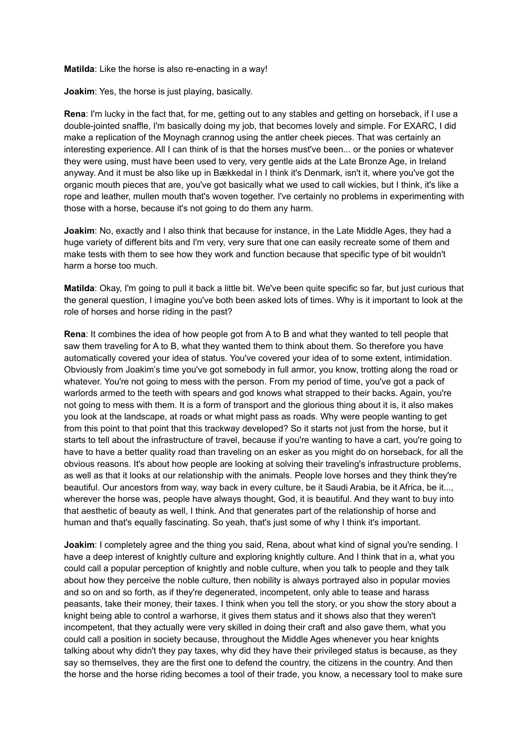**Matilda**: Like the horse is also re-enacting in a way!

**Joakim**: Yes, the horse is just playing, basically.

**Rena**: I'm lucky in the fact that, for me, getting out to any stables and getting on horseback, if I use a double-jointed snaffle, I'm basically doing my job, that becomes lovely and simple. For EXARC, I did make a replication of the Moynagh crannog using the antler cheek pieces. That was certainly an interesting experience. All I can think of is that the horses must've been... or the ponies or whatever they were using, must have been used to very, very gentle aids at the Late Bronze Age, in Ireland anyway. And it must be also like up in Bækkedal in I think it's Denmark, isn't it, where you've got the organic mouth pieces that are, you've got basically what we used to call wickies, but I think, it's like a rope and leather, mullen mouth that's woven together. I've certainly no problems in experimenting with those with a horse, because it's not going to do them any harm.

**Joakim**: No, exactly and I also think that because for instance, in the Late Middle Ages, they had a huge variety of different bits and I'm very, very sure that one can easily recreate some of them and make tests with them to see how they work and function because that specific type of bit wouldn't harm a horse too much.

**Matilda**: Okay, I'm going to pull it back a little bit. We've been quite specific so far, but just curious that the general question, I imagine you've both been asked lots of times. Why is it important to look at the role of horses and horse riding in the past?

**Rena**: It combines the idea of how people got from A to B and what they wanted to tell people that saw them traveling for A to B, what they wanted them to think about them. So therefore you have automatically covered your idea of status. You've covered your idea of to some extent, intimidation. Obviously from Joakim's time you've got somebody in full armor, you know, trotting along the road or whatever. You're not going to mess with the person. From my period of time, you've got a pack of warlords armed to the teeth with spears and god knows what strapped to their backs. Again, you're not going to mess with them. It is a form of transport and the glorious thing about it is, it also makes you look at the landscape, at roads or what might pass as roads. Why were people wanting to get from this point to that point that this trackway developed? So it starts not just from the horse, but it starts to tell about the infrastructure of travel, because if you're wanting to have a cart, you're going to have to have a better quality road than traveling on an esker as you might do on horseback, for all the obvious reasons. It's about how people are looking at solving their traveling's infrastructure problems, as well as that it looks at our relationship with the animals. People love horses and they think they're beautiful. Our ancestors from way, way back in every culture, be it Saudi Arabia, be it Africa, be it..., wherever the horse was, people have always thought, God, it is beautiful. And they want to buy into that aesthetic of beauty as well, I think. And that generates part of the relationship of horse and human and that's equally fascinating. So yeah, that's just some of why I think it's important.

**Joakim**: I completely agree and the thing you said, Rena, about what kind of signal you're sending. I have a deep interest of knightly culture and exploring knightly culture. And I think that in a, what you could call a popular perception of knightly and noble culture, when you talk to people and they talk about how they perceive the noble culture, then nobility is always portrayed also in popular movies and so on and so forth, as if they're degenerated, incompetent, only able to tease and harass peasants, take their money, their taxes. I think when you tell the story, or you show the story about a knight being able to control a warhorse, it gives them status and it shows also that they weren't incompetent, that they actually were very skilled in doing their craft and also gave them, what you could call a position in society because, throughout the Middle Ages whenever you hear knights talking about why didn't they pay taxes, why did they have their privileged status is because, as they say so themselves, they are the first one to defend the country, the citizens in the country. And then the horse and the horse riding becomes a tool of their trade, you know, a necessary tool to make sure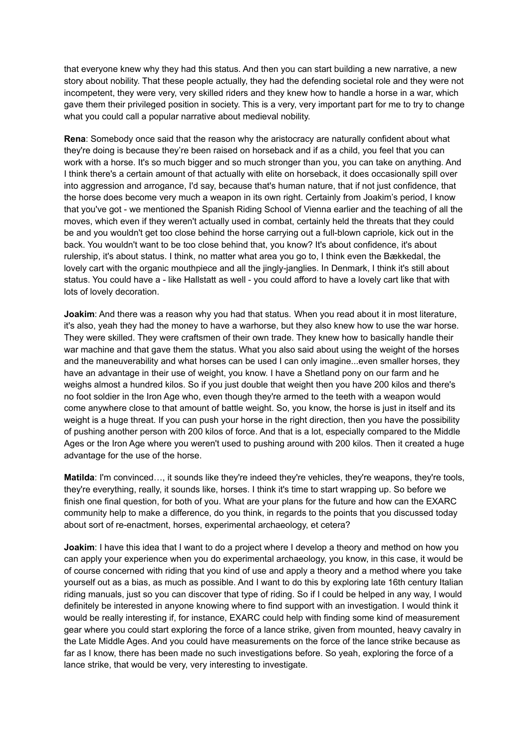that everyone knew why they had this status. And then you can start building a new narrative, a new story about nobility. That these people actually, they had the defending societal role and they were not incompetent, they were very, very skilled riders and they knew how to handle a horse in a war, which gave them their privileged position in society. This is a very, very important part for me to try to change what you could call a popular narrative about medieval nobility.

**Rena**: Somebody once said that the reason why the aristocracy are naturally confident about what they're doing is because they're been raised on horseback and if as a child, you feel that you can work with a horse. It's so much bigger and so much stronger than you, you can take on anything. And I think there's a certain amount of that actually with elite on horseback, it does occasionally spill over into aggression and arrogance, I'd say, because that's human nature, that if not just confidence, that the horse does become very much a weapon in its own right. Certainly from Joakim's period, I know that you've got - we mentioned the Spanish Riding School of Vienna earlier and the teaching of all the moves, which even if they weren't actually used in combat, certainly held the threats that they could be and you wouldn't get too close behind the horse carrying out a full-blown capriole, kick out in the back. You wouldn't want to be too close behind that, you know? It's about confidence, it's about rulership, it's about status. I think, no matter what area you go to, I think even the Bækkedal, the lovely cart with the organic mouthpiece and all the jingly-janglies. In Denmark, I think it's still about status. You could have a - like Hallstatt as well - you could afford to have a lovely cart like that with lots of lovely decoration.

**Joakim**: And there was a reason why you had that status. When you read about it in most literature, it's also, yeah they had the money to have a warhorse, but they also knew how to use the war horse. They were skilled. They were craftsmen of their own trade. They knew how to basically handle their war machine and that gave them the status. What you also said about using the weight of the horses and the maneuverability and what horses can be used I can only imagine...even smaller horses, they have an advantage in their use of weight, you know. I have a Shetland pony on our farm and he weighs almost a hundred kilos. So if you just double that weight then you have 200 kilos and there's no foot soldier in the Iron Age who, even though they're armed to the teeth with a weapon would come anywhere close to that amount of battle weight. So, you know, the horse is just in itself and its weight is a huge threat. If you can push your horse in the right direction, then you have the possibility of pushing another person with 200 kilos of force. And that is a lot, especially compared to the Middle Ages or the Iron Age where you weren't used to pushing around with 200 kilos. Then it created a huge advantage for the use of the horse.

**Matilda**: I'm convinced…, it sounds like they're indeed they're vehicles, they're weapons, they're tools, they're everything, really, it sounds like, horses. I think it's time to start wrapping up. So before we finish one final question, for both of you. What are your plans for the future and how can the EXARC community help to make a difference, do you think, in regards to the points that you discussed today about sort of re-enactment, horses, experimental archaeology, et cetera?

**Joakim**: I have this idea that I want to do a project where I develop a theory and method on how you can apply your experience when you do experimental archaeology, you know, in this case, it would be of course concerned with riding that you kind of use and apply a theory and a method where you take yourself out as a bias, as much as possible. And I want to do this by exploring late 16th century Italian riding manuals, just so you can discover that type of riding. So if I could be helped in any way, I would definitely be interested in anyone knowing where to find support with an investigation. I would think it would be really interesting if, for instance, EXARC could help with finding some kind of measurement gear where you could start exploring the force of a lance strike, given from mounted, heavy cavalry in the Late Middle Ages. And you could have measurements on the force of the lance strike because as far as I know, there has been made no such investigations before. So yeah, exploring the force of a lance strike, that would be very, very interesting to investigate.